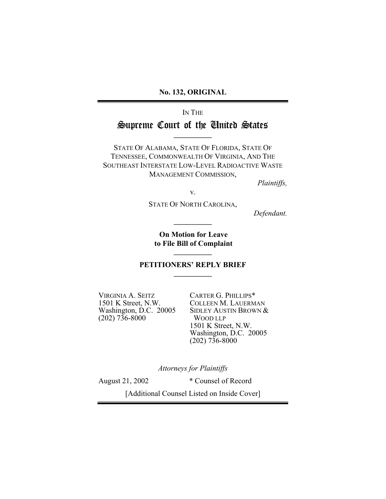**No. 132, ORIGINAL**

IN THE

# Supreme Court of the United States **\_\_\_\_\_\_\_\_\_\_\_**

STATE OF ALABAMA, STATE OF FLORIDA, STATE OF TENNESSEE, COMMONWEALTH OF VIRGINIA, AND THE SOUTHEAST INTERSTATE LOW-LEVEL RADIOACTIVE WASTE MANAGEMENT COMMISSION,

*Plaintiffs,*

v.

STATE OF NORTH CAROLINA,

**\_\_\_\_\_\_\_\_\_\_\_**

*Defendant.*

**On Motion for Leave to File Bill of Complaint**

#### **PETITIONERS' REPLY BRIEF \_\_\_\_\_\_\_\_\_\_\_**

**\_\_\_\_\_\_\_\_\_\_\_**

VIRGINIA A. SEITZ CARTER G. PHILLIPS\*<br>1501 K Street, N.W. COLLEEN M. LAUERM (202) 736-8000 WOOD LLP

1501 K Street, N.W. COLLEEN M. LAUERMAN<br>Washington, D.C. 20005 SIDLEY AUSTIN BROWN & SIDLEY AUSTIN BROWN & 1501 K Street, N.W. Washington, D.C. 20005  $(202)$  736-8000

*Attorneys for Plaintiffs*

August 21, 2002 \* Counsel of Record

[Additional Counsel Listed on Inside Cover]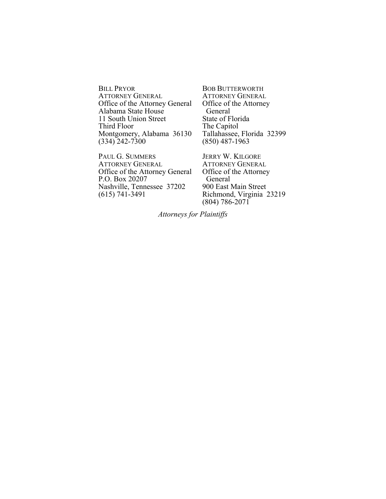BILL PRYOR<br>ATTORNEY GENERAL BOB BUTTERWORTH<br>ATTORNEY GENERAL<br>ATTORNEY GENERAL ATTORNEY GENERAL ATTORNEY GENERAL<br>Office of the Attorney General Office of the Attorney Office of the Attorney General Office of<br>Alabama State House General Alabama State House<br>
11 South Union Street<br>
State of Florida 11 South Union Street<br>Third Floor Montgomery, Alabama 36130 Tallahassee, Flo<br>(334) 242-7300 (850) 487-1963  $(334)$  242-7300

PAUL G. SUMMERS JERRY W. KILGORE<br>ATTORNEY GENERAL ATTORNEY GENERAL ATTORNEY GENERAL ATTORNEY GENERAL<br>Office of the Attorney General Office of the Attorney Office of the Attorney General Office of<br>P.O. Box 20207 General P.O. Box 20207 General<br>Nashville, Tennessee 37202 900 East Main Street Nashville, Tennessee 37202<br>(615) 741-3491

The Capitol<br>Tallahassee, Florida 32399

Richmond, Virginia 23219 (804) 786-2071

*Attorneys for Plaintiffs*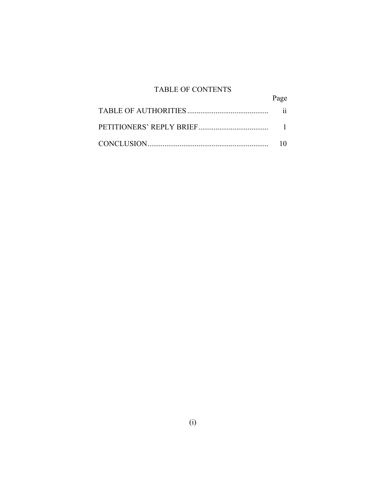## TABLE OF CONTENTS

| Page |
|------|
|      |
|      |
|      |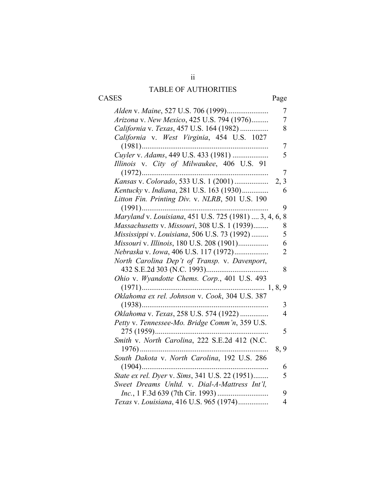## TABLE OF AUTHORITIES

CASES Page

|                                                         | 7              |
|---------------------------------------------------------|----------------|
| Arizona v. New Mexico, 425 U.S. 794 (1976)              | 7              |
| California v. Texas, 457 U.S. 164 (1982)                | 8              |
| California v. West Virginia, 454 U.S. 1027              |                |
|                                                         | 7              |
| Cuyler v. Adams, 449 U.S. 433 (1981)                    | 5              |
| Illinois v. City of Milwaukee, 406 U.S. 91              |                |
| $(1972)$                                                | 7              |
| Kansas v. Colorado, 533 U.S. 1 (2001)                   | 2, 3           |
| Kentucky v. Indiana, 281 U.S. 163 (1930)                | 6              |
| Litton Fin. Printing Div. v. NLRB, 501 U.S. 190         |                |
|                                                         | 9              |
|                                                         | 8              |
| Massachusetts v. Missouri, 308 U.S. 1 (1939)            | 8              |
| Mississippi v. Louisiana, 506 U.S. 73 (1992)            | 5              |
| Missouri v. Illinois, 180 U.S. 208 (1901)               | 6              |
| Nebraska v. Iowa, 406 U.S. 117 (1972)                   | $\overline{2}$ |
| North Carolina Dep't of Transp. v. Davenport,           |                |
| 432 S.E.2d 303 (N.C. 1993)                              | 8              |
| Ohio v. Wyandotte Chems. Corp., 401 U.S. 493            |                |
|                                                         |                |
| Oklahoma ex rel. Johnson v. Cook, 304 U.S. 387          |                |
| $(1938)$                                                | 3              |
|                                                         | $\overline{4}$ |
| Petty v. Tennessee-Mo. Bridge Comm'n, 359 U.S.          |                |
|                                                         | 5              |
|                                                         |                |
| Smith v. North Carolina, 222 S.E.2d 412 (N.C.           |                |
| $1976)$<br>South Dakota v. North Carolina, 192 U.S. 286 | 8, 9           |
|                                                         |                |
| $(1904)$                                                | 6              |
| State ex rel. Dyer v. Sims, 341 U.S. 22 (1951)          | 5              |
| Sweet Dreams Unltd. v. Dial-A-Mattress Int'l,           |                |
|                                                         | 9              |
| Texas v. Louisiana, 416 U.S. 965 (1974)                 | 4              |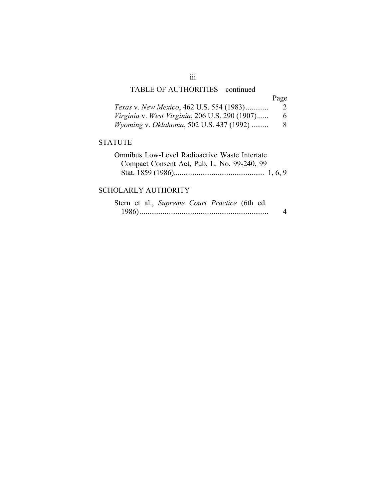## TABLE OF AUTHORITIES – continued

| Texas v. New Mexico, 462 U.S. 554 (1983)         | $\mathcal{L}$ |
|--------------------------------------------------|---------------|
| Virginia v. West Virginia, 206 U.S. 290 (1907)   | 6             |
| <i>Wyoming v. Oklahoma, 502 U.S. 437 (1992) </i> | 8             |

#### STATUTE

| Omnibus Low-Level Radioactive Waste Intertate |  |
|-----------------------------------------------|--|
| Compact Consent Act, Pub. L. No. 99-240, 99   |  |
|                                               |  |

## SCHOLARLY AUTHORITY

|  | Stern et al., Supreme Court Practice (6th ed. |  |  |  |
|--|-----------------------------------------------|--|--|--|
|  |                                               |  |  |  |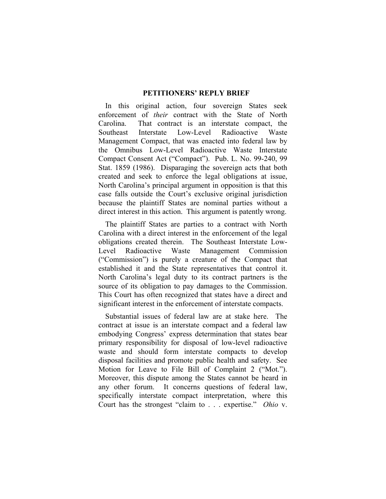#### **PETITIONERS' REPLY BRIEF**

In this original action, four sovereign States seek enforcement of *their* contract with the State of North Carolina. That contract is an interstate compact, the Southeast Interstate Low-Level Radioactive Waste Management Compact, that was enacted into federal law by the Omnibus Low-Level Radioactive Waste Interstate Compact Consent Act ("Compact"). Pub. L. No. 99-240, 99 Stat. 1859 (1986). Disparaging the sovereign acts that both created and seek to enforce the legal obligations at issue, North Carolina's principal argument in opposition is that this case falls outside the Court's exclusive original jurisdiction because the plaintiff States are nominal parties without a direct interest in this action. This argument is patently wrong.

The plaintiff States are parties to a contract with North Carolina with a direct interest in the enforcement of the legal obligations created therein. The Southeast Interstate Low-Level Radioactive Waste Management Commission ("Commission") is purely a creature of the Compact that established it and the State representatives that control it. North Carolina's legal duty to its contract partners is the source of its obligation to pay damages to the Commission. This Court has often recognized that states have a direct and significant interest in the enforcement of interstate compacts.

Substantial issues of federal law are at stake here. The contract at issue is an interstate compact and a federal law embodying Congress' express determination that states bear primary responsibility for disposal of low-level radioactive waste and should form interstate compacts to develop disposal facilities and promote public health and safety. See Motion for Leave to File Bill of Complaint 2 ("Mot."). Moreover, this dispute among the States cannot be heard in any other forum. It concerns questions of federal law, specifically interstate compact interpretation, where this Court has the strongest "claim to . . . expertise." *Ohio* v.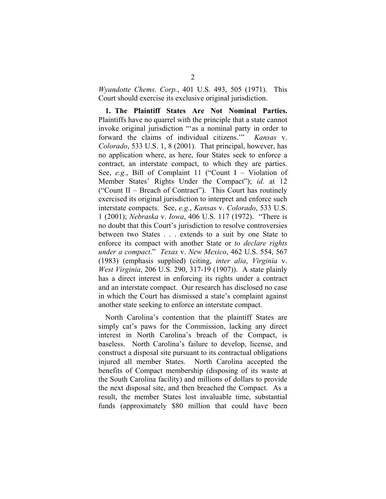*Wyandotte Chems. Corp.*, 401 U.S. 493, 505 (1971). This Court should exercise its exclusive original jurisdiction.

**1. The Plaintiff States Are Not Nominal Parties.** Plaintiffs have no quarrel with the principle that a state cannot invoke original jurisdiction "'as a nominal party in order to forward the claims of individual citizens.'" *Kansas* v. *Colorado*, 533 U.S. 1, 8 (2001). That principal, however, has no application where, as here, four States seek to enforce a contract, an interstate compact, to which they are parties. See, *e.g.*, Bill of Complaint 11 ("Count I – Violation of Member States' Rights Under the Compact"); *id.* at 12 ("Count II – Breach of Contract"). This Court has routinely exercised its original jurisdiction to interpret and enforce such interstate compacts. See, *e.g.*, *Kansas* v. *Colorado*, 533 U.S. 1 (2001); *Nebraska* v. *Iowa*, 406 U.S. 117 (1972). "There is no doubt that this Court's jurisdiction to resolve controversies between two States . . . extends to a suit by one State to enforce its compact with another State or *to declare rights under a compact*." *Texas* v. *New Mexico*, 462 U.S. 554, 567 (1983) (emphasis supplied) (citing, *inter alia*, *Virginia* v. *West Virginia*, 206 U.S. 290, 317-19 (1907)). A state plainly has a direct interest in enforcing its rights under a contract and an interstate compact. Our research has disclosed no case in which the Court has dismissed a state's complaint against another state seeking to enforce an interstate compact.

North Carolina's contention that the plaintiff States are simply cat's paws for the Commission, lacking any direct interest in North Carolina's breach of the Compact, is baseless. North Carolina's failure to develop, license, and construct a disposal site pursuant to its contractual obligations injured all member States. North Carolina accepted the benefits of Compact membership (disposing of its waste at the South Carolina facility) and millions of dollars to provide the next disposal site, and then breached the Compact. As a result, the member States lost invaluable time, substantial funds (approximately \$80 million that could have been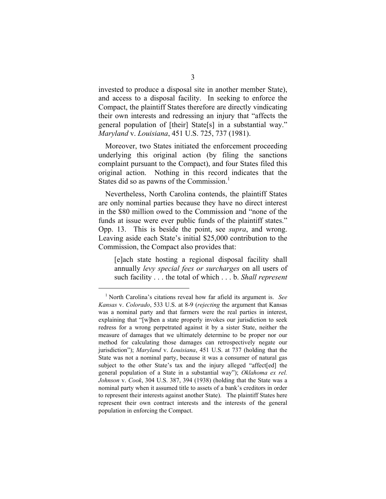invested to produce a disposal site in another member State), and access to a disposal facility. In seeking to enforce the Compact, the plaintiff States therefore are directly vindicating their own interests and redressing an injury that "affects the general population of [their] State[s] in a substantial way." *Maryland* v. *Louisiana*, 451 U.S. 725, 737 (1981).

Moreover, two States initiated the enforcement proceeding underlying this original action (by filing the sanctions complaint pursuant to the Compact), and four States filed this original action. Nothing in this record indicates that the States did so as pawns of the Commission.<sup>1</sup>

Nevertheless, North Carolina contends, the plaintiff States are only nominal parties because they have no direct interest in the \$80 million owed to the Commission and "none of the funds at issue were ever public funds of the plaintiff states." Opp. 13. This is beside the point, see *supra*, and wrong. Leaving aside each State's initial \$25,000 contribution to the Commission, the Compact also provides that:

[e]ach state hosting a regional disposal facility shall annually *levy special fees or surcharges* on all users of such facility . . . the total of which . . . b. *Shall represent*

 $\frac{1}{1}$ <sup>1</sup> North Carolina's citations reveal how far afield its argument is. *See Kansas* v. *Colorado*, 533 U.S. at 8-9 (*rejecting* the argument that Kansas was a nominal party and that farmers were the real parties in interest, explaining that "[w]hen a state properly invokes our jurisdiction to seek redress for a wrong perpetrated against it by a sister State, neither the measure of damages that we ultimately determine to be proper nor our method for calculating those damages can retrospectively negate our jurisdiction"); *Maryland* v. *Louisiana*, 451 U.S. at 737 (holding that the State was not a nominal party, because it was a consumer of natural gas subject to the other State's tax and the injury alleged "affect[ed] the general population of a State in a substantial way"); *Oklahoma ex rel. Johnson* v. *Cook*, 304 U.S. 387, 394 (1938) (holding that the State was a nominal party when it assumed title to assets of a bank's creditors in order to represent their interests against another State). The plaintiff States here represent their own contract interests and the interests of the general population in enforcing the Compact.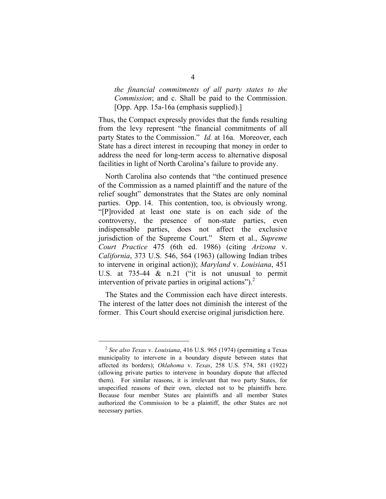*the financial commitments of all party states to the Commission*; and c. Shall be paid to the Commission. [Opp. App. 15a-16a (emphasis supplied).]

Thus, the Compact expressly provides that the funds resulting from the levy represent "the financial commitments of all party States to the Commission." *Id.* at 16a. Moreover, each State has a direct interest in recouping that money in order to address the need for long-term access to alternative disposal facilities in light of North Carolina's failure to provide any.

North Carolina also contends that "the continued presence of the Commission as a named plaintiff and the nature of the relief sought" demonstrates that the States are only nominal parties. Opp. 14. This contention, too, is obviously wrong. "[P]rovided at least one state is on each side of the controversy, the presence of non-state parties, even indispensable parties, does not affect the exclusive jurisdiction of the Supreme Court." Stern et al., *Supreme Court Practice* 475 (6th ed. 1986) (citing *Arizona* v. *California*, 373 U.S. 546, 564 (1963) (allowing Indian tribes to intervene in original action)); *Maryland* v. *Louisiana*, 451 U.S. at 735-44 & n.21 ("it is not unusual to permit intervention of private parties in original actions"). $^{2}$ 

The States and the Commission each have direct interests. The interest of the latter does not diminish the interest of the former. This Court should exercise original jurisdiction here.

 <sup>2</sup> *See also Texas* v. *Louisiana*, 416 U.S. 965 (1974) (permitting a Texas municipality to intervene in a boundary dispute between states that affected its borders); *Oklahoma* v. *Texas*, 258 U.S. 574, 581 (1922) (allowing private parties to intervene in boundary dispute that affected them). For similar reasons, it is irrelevant that two party States, for unspecified reasons of their own, elected not to be plaintiffs here. Because four member States are plaintiffs and all member States authorized the Commission to be a plaintiff, the other States are not necessary parties.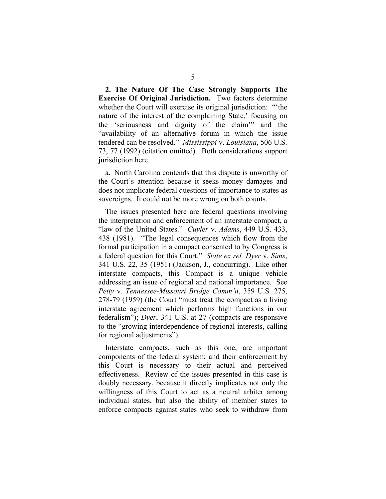**2. The Nature Of The Case Strongly Supports The Exercise Of Original Jurisdiction.** Two factors determine whether the Court will exercise its original jurisdiction: "'the nature of the interest of the complaining State,' focusing on the 'seriousness and dignity of the claim'" and the "availability of an alternative forum in which the issue tendered can be resolved." *Mississippi* v. *Louisiana*, 506 U.S. 73, 77 (1992) (citation omitted). Both considerations support jurisdiction here.

a. North Carolina contends that this dispute is unworthy of the Court's attention because it seeks money damages and does not implicate federal questions of importance to states as sovereigns. It could not be more wrong on both counts.

The issues presented here are federal questions involving the interpretation and enforcement of an interstate compact, a "law of the United States." *Cuyler* v. *Adams*, 449 U.S. 433, 438 (1981). "The legal consequences which flow from the formal participation in a compact consented to by Congress is a federal question for this Court." *State ex rel. Dyer* v. *Sims*, 341 U.S. 22, 35 (1951) (Jackson, J., concurring). Like other interstate compacts, this Compact is a unique vehicle addressing an issue of regional and national importance. See *Petty* v. *Tennessee-Missouri Bridge Comm'n*, 359 U.S. 275, 278-79 (1959) (the Court "must treat the compact as a living interstate agreement which performs high functions in our federalism"); *Dyer*, 341 U.S. at 27 (compacts are responsive to the "growing interdependence of regional interests, calling for regional adjustments").

Interstate compacts, such as this one, are important components of the federal system; and their enforcement by this Court is necessary to their actual and perceived effectiveness. Review of the issues presented in this case is doubly necessary, because it directly implicates not only the willingness of this Court to act as a neutral arbiter among individual states, but also the ability of member states to enforce compacts against states who seek to withdraw from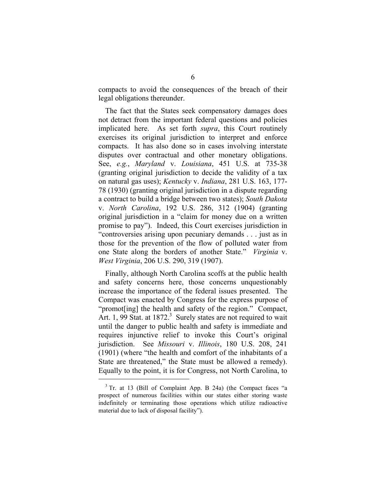compacts to avoid the consequences of the breach of their legal obligations thereunder.

The fact that the States seek compensatory damages does not detract from the important federal questions and policies implicated here. As set forth *supra*, this Court routinely exercises its original jurisdiction to interpret and enforce compacts. It has also done so in cases involving interstate disputes over contractual and other monetary obligations. See, *e.g.*, *Maryland* v. *Louisiana*, 451 U.S. at 735-38 (granting original jurisdiction to decide the validity of a tax on natural gas uses); *Kentucky* v. *Indiana*, 281 U.S. 163, 177- 78 (1930) (granting original jurisdiction in a dispute regarding a contract to build a bridge between two states); *South Dakota* v. *North Carolina*, 192 U.S. 286, 312 (1904) (granting original jurisdiction in a "claim for money due on a written promise to pay"). Indeed, this Court exercises jurisdiction in "controversies arising upon pecuniary demands . . . just as in those for the prevention of the flow of polluted water from one State along the borders of another State." *Virginia* v. *West Virginia*, 206 U.S. 290, 319 (1907).

Finally, although North Carolina scoffs at the public health and safety concerns here, those concerns unquestionably increase the importance of the federal issues presented. The Compact was enacted by Congress for the express purpose of "promot[ing] the health and safety of the region." Compact, Art. 1, 99 Stat. at 1872.<sup>3</sup> Surely states are not required to wait until the danger to public health and safety is immediate and requires injunctive relief to invoke this Court's original jurisdiction. See *Missouri* v. *Illinois*, 180 U.S. 208, 241 (1901) (where "the health and comfort of the inhabitants of a State are threatened," the State must be allowed a remedy). Equally to the point, it is for Congress, not North Carolina, to

 <sup>3</sup> Tr. at 13 (Bill of Complaint App. B 24a) (the Compact faces "a prospect of numerous facilities within our states either storing waste indefinitely or terminating those operations which utilize radioactive material due to lack of disposal facility").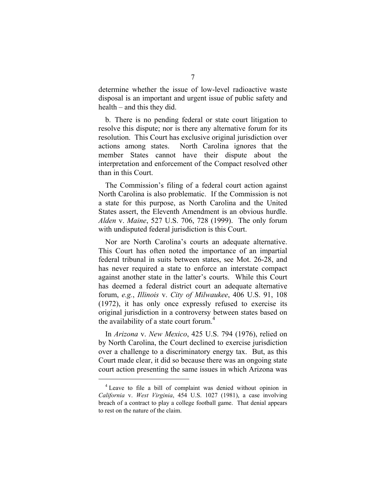determine whether the issue of low-level radioactive waste disposal is an important and urgent issue of public safety and health – and this they did.

b. There is no pending federal or state court litigation to resolve this dispute; nor is there any alternative forum for its resolution. This Court has exclusive original jurisdiction over actions among states. North Carolina ignores that the member States cannot have their dispute about the interpretation and enforcement of the Compact resolved other than in this Court.

The Commission's filing of a federal court action against North Carolina is also problematic. If the Commission is not a state for this purpose, as North Carolina and the United States assert, the Eleventh Amendment is an obvious hurdle. *Alden* v. *Maine*, 527 U.S. 706, 728 (1999). The only forum with undisputed federal jurisdiction is this Court.

Nor are North Carolina's courts an adequate alternative. This Court has often noted the importance of an impartial federal tribunal in suits between states, see Mot. 26-28, and has never required a state to enforce an interstate compact against another state in the latter's courts. While this Court has deemed a federal district court an adequate alternative forum, *e.g.*, *Illinois* v. *City of Milwaukee*, 406 U.S. 91, 108 (1972), it has only once expressly refused to exercise its original jurisdiction in a controversy between states based on the availability of a state court forum.<sup>4</sup>

In *Arizona* v. *New Mexico*, 425 U.S. 794 (1976), relied on by North Carolina, the Court declined to exercise jurisdiction over a challenge to a discriminatory energy tax. But, as this Court made clear, it did so because there was an ongoing state court action presenting the same issues in which Arizona was

 <sup>4</sup> Leave to file a bill of complaint was denied without opinion in *California* v. *West Virginia*, 454 U.S. 1027 (1981), a case involving breach of a contract to play a college football game. That denial appears to rest on the nature of the claim.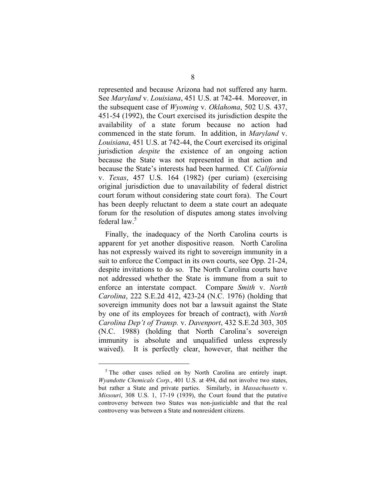represented and because Arizona had not suffered any harm. See *Maryland* v. *Louisiana*, 451 U.S. at 742-44. Moreover, in the subsequent case of *Wyoming* v. *Oklahoma*, 502 U.S. 437, 451-54 (1992), the Court exercised its jurisdiction despite the availability of a state forum because no action had commenced in the state forum. In addition, in *Maryland* v. *Louisiana*, 451 U.S. at 742-44, the Court exercised its original jurisdiction *despite* the existence of an ongoing action because the State was not represented in that action and because the State's interests had been harmed. Cf. *California* v. *Texas*, 457 U.S. 164 (1982) (per curiam) (exercising original jurisdiction due to unavailability of federal district court forum without considering state court fora). The Court has been deeply reluctant to deem a state court an adequate forum for the resolution of disputes among states involving federal law.<sup>5</sup>

Finally, the inadequacy of the North Carolina courts is apparent for yet another dispositive reason. North Carolina has not expressly waived its right to sovereign immunity in a suit to enforce the Compact in its own courts, see Opp. 21-24, despite invitations to do so. The North Carolina courts have not addressed whether the State is immune from a suit to enforce an interstate compact. Compare *Smith* v. *North Carolina*, 222 S.E.2d 412, 423-24 (N.C. 1976) (holding that sovereign immunity does not bar a lawsuit against the State by one of its employees for breach of contract), with *North Carolina Dep't of Transp.* v. *Davenport*, 432 S.E.2d 303, 305 (N.C. 1988) (holding that North Carolina's sovereign immunity is absolute and unqualified unless expressly waived). It is perfectly clear, however, that neither the

<sup>&</sup>lt;sup>5</sup> The other cases relied on by North Carolina are entirely inapt. *Wyandotte Chemicals Corp.*, 401 U.S. at 494, did not involve two states, but rather a State and private parties. Similarly, in *Massachusetts* v. *Missouri*, 308 U.S. 1, 17-19 (1939), the Court found that the putative controversy between two States was non-justiciable and that the real controversy was between a State and nonresident citizens.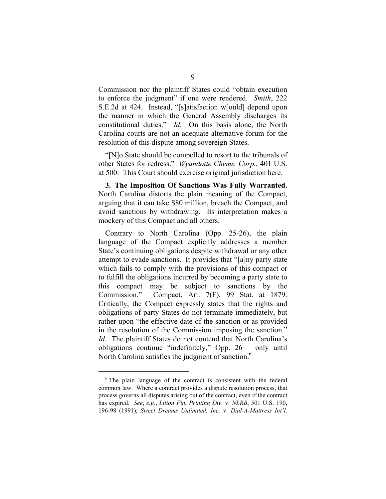Commission nor the plaintiff States could "obtain execution to enforce the judgment" if one were rendered. *Smith*, 222 S.E.2d at 424. Instead, "[s]atisfaction w[ould] depend upon the manner in which the General Assembly discharges its constitutional duties." *Id.* On this basis alone, the North Carolina courts are not an adequate alternative forum for the resolution of this dispute among sovereign States.

"[N]o State should be compelled to resort to the tribunals of other States for redress." *Wyandotte Chems. Corp.*, 401 U.S. at 500. This Court should exercise original jurisdiction here.

**3. The Imposition Of Sanctions Was Fully Warranted.** North Carolina distorts the plain meaning of the Compact, arguing that it can take \$80 million, breach the Compact, and avoid sanctions by withdrawing. Its interpretation makes a mockery of this Compact and all others.

Contrary to North Carolina (Opp. 25-26), the plain language of the Compact explicitly addresses a member State's continuing obligations despite withdrawal or any other attempt to evade sanctions. It provides that "[a]ny party state which fails to comply with the provisions of this compact or to fulfill the obligations incurred by becoming a party state to this compact may be subject to sanctions by the Commission." Compact, Art. 7(F), 99 Stat. at 1879. Critically, the Compact expressly states that the rights and obligations of party States do not terminate immediately, but rather upon "the effective date of the sanction or as provided in the resolution of the Commission imposing the sanction." *Id.* The plaintiff States do not contend that North Carolina's obligations continue "indefinitely," Opp. 26 – only until North Carolina satisfies the judgment of sanction.<sup>6</sup>

 <sup>6</sup> The plain language of the contract is consistent with the federal common law. Where a contract provides a dispute resolution process, that process governs all disputes arising out of the contract, even if the contract has expired. *See*, *e.g.*, *Litton Fin. Printing Div.* v. *NLRB*, 501 U.S. 190, 196-98 (1991); *Sweet Dreams Unlimited, Inc.* v. *Dial-A-Mattress Int'l,*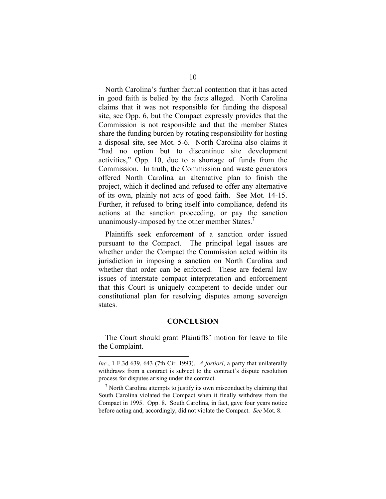North Carolina's further factual contention that it has acted in good faith is belied by the facts alleged. North Carolina claims that it was not responsible for funding the disposal site, see Opp. 6, but the Compact expressly provides that the Commission is not responsible and that the member States share the funding burden by rotating responsibility for hosting a disposal site, see Mot. 5-6. North Carolina also claims it "had no option but to discontinue site development activities," Opp. 10, due to a shortage of funds from the Commission. In truth, the Commission and waste generators offered North Carolina an alternative plan to finish the project, which it declined and refused to offer any alternative of its own, plainly not acts of good faith. See Mot. 14-15. Further, it refused to bring itself into compliance, defend its actions at the sanction proceeding, or pay the sanction unanimously-imposed by the other member States.<sup>7</sup>

Plaintiffs seek enforcement of a sanction order issued pursuant to the Compact. The principal legal issues are whether under the Compact the Commission acted within its jurisdiction in imposing a sanction on North Carolina and whether that order can be enforced. These are federal law issues of interstate compact interpretation and enforcement that this Court is uniquely competent to decide under our constitutional plan for resolving disputes among sovereign states.

#### **CONCLUSION**

The Court should grant Plaintiffs' motion for leave to file the Complaint.

 $\overline{a}$ 

*Inc.*, 1 F.3d 639, 643 (7th Cir. 1993). *A fortiori*, a party that unilaterally withdraws from a contract is subject to the contract's dispute resolution process for disputes arising under the contract.

 $<sup>7</sup>$  North Carolina attempts to justify its own misconduct by claiming that</sup> South Carolina violated the Compact when it finally withdrew from the Compact in 1995. Opp. 8. South Carolina, in fact, gave four years notice before acting and, accordingly, did not violate the Compact. *See* Mot. 8.